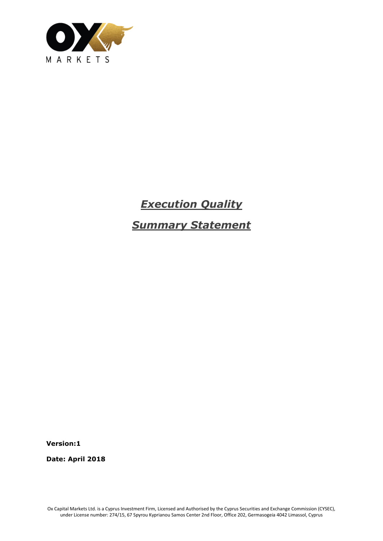

# *Execution Quality*

*Summary Statement*

**Version:1**

**Date: April 2018**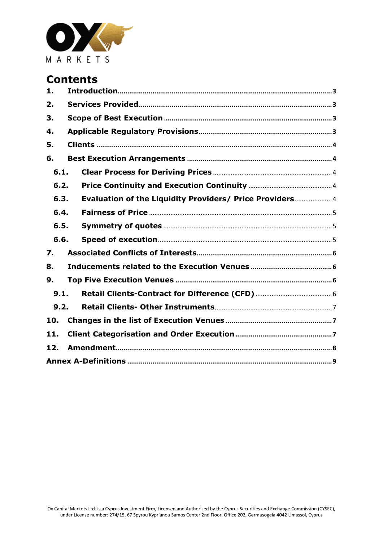

# **Contents**

| 1.   |  |                                                         |  |  |  |  |  |
|------|--|---------------------------------------------------------|--|--|--|--|--|
| 2.   |  |                                                         |  |  |  |  |  |
| 3.   |  |                                                         |  |  |  |  |  |
| 4.   |  |                                                         |  |  |  |  |  |
| 5.   |  |                                                         |  |  |  |  |  |
| 6.   |  |                                                         |  |  |  |  |  |
| 6.1. |  |                                                         |  |  |  |  |  |
| 6.2. |  |                                                         |  |  |  |  |  |
| 6.3. |  | Evaluation of the Liquidity Providers/ Price Providers4 |  |  |  |  |  |
| 6.4. |  |                                                         |  |  |  |  |  |
| 6.5. |  |                                                         |  |  |  |  |  |
| 6.6. |  |                                                         |  |  |  |  |  |
| 7.   |  |                                                         |  |  |  |  |  |
| 8.   |  |                                                         |  |  |  |  |  |
| 9.   |  |                                                         |  |  |  |  |  |
| 9.1. |  |                                                         |  |  |  |  |  |
| 9.2. |  |                                                         |  |  |  |  |  |
| 10.  |  |                                                         |  |  |  |  |  |
| 11.  |  |                                                         |  |  |  |  |  |
| 12.  |  |                                                         |  |  |  |  |  |
|      |  |                                                         |  |  |  |  |  |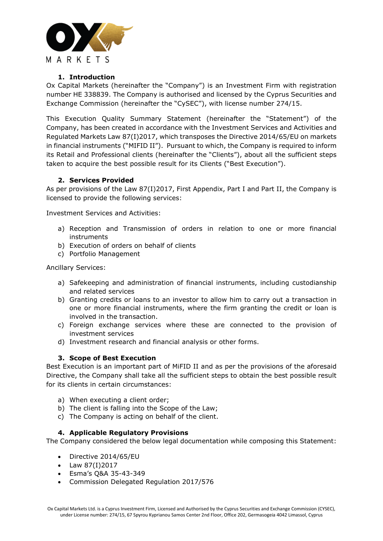

# **1. Introduction**

<span id="page-2-0"></span>Ox Capital Markets (hereinafter the "Company") is an Investment Firm with registration number HE 338839. The Company is authorised and licensed by the Cyprus Securities and Exchange Commission (hereinafter the "CySEC"), with license number 274/15.

This Execution Quality Summary Statement (hereinafter the "Statement") of the Company, has been created in accordance with the Investment Services and Activities and Regulated Markets Law 87(I)2017, which transposes the Directive 2014/65/EU on markets in financial instruments ("MIFID II"). Pursuant to which, the Company is required to inform its Retail and Professional clients (hereinafter the "Clients"), about all the sufficient steps taken to acquire the best possible result for its Clients ("Best Execution").

# **2. Services Provided**

<span id="page-2-1"></span>As per provisions of the Law 87(I)2017, First Appendix, Part I and Part II, the Company is licensed to provide the following services:

Investment Services and Activities:

- a) Reception and Transmission of orders in relation to one or more financial instruments
- b) Execution of orders on behalf of clients
- c) Portfolio Management

Ancillary Services:

- a) Safekeeping and administration of financial instruments, including custodianship and related services
- b) Granting credits or loans to an investor to allow him to carry out a transaction in one or more financial instruments, where the firm granting the credit or loan is involved in the transaction.
- c) Foreign exchange services where these are connected to the provision of investment services
- d) Investment research and financial analysis or other forms.

# **3. Scope of Best Execution**

<span id="page-2-2"></span>Best Execution is an important part of MiFID II and as per the provisions of the aforesaid Directive, the Company shall take all the sufficient steps to obtain the best possible result for its clients in certain circumstances:

- a) When executing a client order;
- b) The client is falling into the Scope of the Law;
- c) The Company is acting on behalf of the client.

# **4. Applicable Regulatory Provisions**

<span id="page-2-3"></span>The Company considered the below legal documentation while composing this Statement:

- Directive 2014/65/EU
- Law  $87(1)2017$
- Esma's Q&A 35-43-349
- Commission Delegated Regulation 2017/576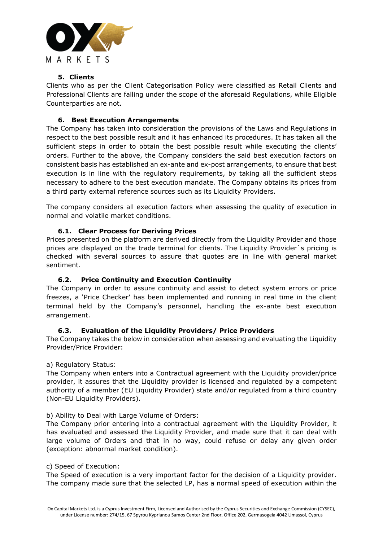

# **5. Clients**

<span id="page-3-0"></span>Clients who as per the Client Categorisation Policy were classified as Retail Clients and Professional Clients are falling under the scope of the aforesaid Regulations, while Eligible Counterparties are not.

# <span id="page-3-1"></span>**6. Best Execution Arrangements**

The Company has taken into consideration the provisions of the Laws and Regulations in respect to the best possible result and it has enhanced its procedures. It has taken all the sufficient steps in order to obtain the best possible result while executing the clients' orders. Further to the above, the Company considers the said best execution factors on consistent basis has established an ex-ante and ex-post arrangements, to ensure that best execution is in line with the regulatory requirements, by taking all the sufficient steps necessary to adhere to the best execution mandate. The Company obtains its prices from a third party external reference sources such as its Liquidity Providers.

The company considers all execution factors when assessing the quality of execution in normal and volatile market conditions.

# **6.1. Clear Process for Deriving Prices**

<span id="page-3-2"></span>Prices presented on the platform are derived directly from the Liquidity Provider and those prices are displayed on the trade terminal for clients. The Liquidity Provider`s pricing is checked with several sources to assure that quotes are in line with general market sentiment.

# **6.2. Price Continuity and Execution Continuity**

<span id="page-3-3"></span>The Company in order to assure continuity and assist to detect system errors or price freezes, a 'Price Checker' has been implemented and running in real time in the client terminal held by the Company's personnel, handling the ex-ante best execution arrangement.

# **6.3. Evaluation of the Liquidity Providers/ Price Providers**

<span id="page-3-4"></span>The Company takes the below in consideration when assessing and evaluating the Liquidity Provider/Price Provider:

# a) Regulatory Status:

The Company when enters into a Contractual agreement with the Liquidity provider/price provider, it assures that the Liquidity provider is licensed and regulated by a competent authority of a member (EU Liquidity Provider) state and/or regulated from a third country (Non-EU Liquidity Providers).

# b) Ability to Deal with Large Volume of Orders:

The Company prior entering into a contractual agreement with the Liquidity Provider, it has evaluated and assessed the Liquidity Provider, and made sure that it can deal with large volume of Orders and that in no way, could refuse or delay any given order (exception: abnormal market condition).

#### c) Speed of Execution:

The Speed of execution is a very important factor for the decision of a Liquidity provider. The company made sure that the selected LP, has a normal speed of execution within the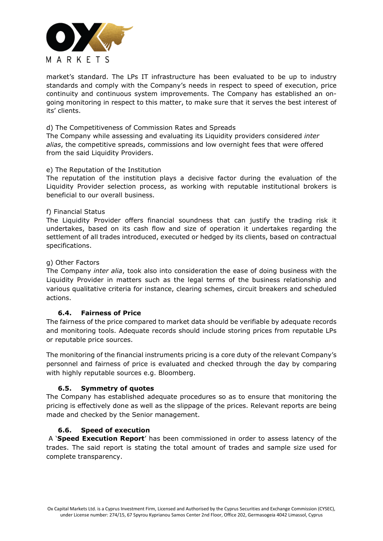

market's standard. The LPs IT infrastructure has been evaluated to be up to industry standards and comply with the Company's needs in respect to speed of execution, price continuity and continuous system improvements. The Company has established an ongoing monitoring in respect to this matter, to make sure that it serves the best interest of its' clients.

d) The Competitiveness of Commission Rates and Spreads

The Company while assessing and evaluating its Liquidity providers considered *inter alias*, the competitive spreads, commissions and low overnight fees that were offered from the said Liquidity Providers.

#### e) The Reputation of the Institution

The reputation of the institution plays a decisive factor during the evaluation of the Liquidity Provider selection process, as working with reputable institutional brokers is beneficial to our overall business.

#### f) Financial Status

The Liquidity Provider offers financial soundness that can justify the trading risk it undertakes, based on its cash flow and size of operation it undertakes regarding the settlement of all trades introduced, executed or hedged by its clients, based on contractual specifications.

#### g) Other Factors

The Company *inter alia*, took also into consideration the ease of doing business with the Liquidity Provider in matters such as the legal terms of the business relationship and various qualitative criteria for instance, clearing schemes, circuit breakers and scheduled actions.

# **6.4. Fairness of Price**

<span id="page-4-0"></span>The fairness of the price compared to market data should be verifiable by adequate records and monitoring tools. Adequate records should include storing prices from reputable LPs or reputable price sources.

The monitoring of the financial instruments pricing is a core duty of the relevant Company's personnel and fairness of price is evaluated and checked through the day by comparing with highly reputable sources e.g. Bloomberg.

# **6.5. Symmetry of quotes**

<span id="page-4-1"></span>The Company has established adequate procedures so as to ensure that monitoring the pricing is effectively done as well as the slippage of the prices. Relevant reports are being made and checked by the Senior management.

# **6.6. Speed of execution**

<span id="page-4-2"></span>A '**Speed Execution Report**' has been commissioned in order to assess latency of the trades. The said report is stating the total amount of trades and sample size used for complete transparency.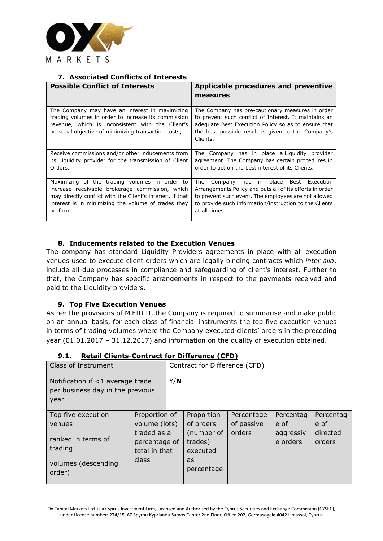

# **7. Associated Conflicts of Interests**

<span id="page-5-0"></span>

| <b>Possible Conflict of Interests</b>                                                                                                                                                                                            | Applicable procedures and preventive<br>measures                                                                                                                                                                                                |
|----------------------------------------------------------------------------------------------------------------------------------------------------------------------------------------------------------------------------------|-------------------------------------------------------------------------------------------------------------------------------------------------------------------------------------------------------------------------------------------------|
| The Company may have an interest in maximizing<br>trading volumes in order to increase its commission<br>revenue, which is inconsistent with the Client's<br>personal objective of minimizing transaction costs;                 | The Company has pre-cautionary measures in order<br>to prevent such conflict of Interest. It maintains an<br>adequate Best Execution Policy so as to ensure that<br>the best possible result is given to the Company's<br>Clients.              |
| Receive commissions and/or other inducements from<br>its Liquidity provider for the transmission of Client<br>Orders.                                                                                                            | The Company has in place a Liquidity provider<br>agreement. The Company has certain procedures in<br>order to act on the best interest of its Clients.                                                                                          |
| Maximizing of the trading volumes in order to<br>increase receivable brokerage commission, which<br>may directly conflict with the Client's interest, if that<br>interest is in minimizing the volume of trades they<br>perform. | Best Execution<br>The<br>Company<br>has in place<br>Arrangements Policy and puts all of its efforts in order<br>to prevent such event. The employees are not allowed<br>to provide such information/instruction to the Clients<br>at all times. |

# **8. Inducements related to the Execution Venues**

<span id="page-5-1"></span>The company has standard Liquidity Providers agreements in place with all execution venues used to execute client orders which are legally binding contracts which *inter alia*, include all due processes in compliance and safeguarding of client's interest. Further to that, the Company has specific arrangements in respect to the payments received and paid to the Liquidity providers.

# **9. Top Five Execution Venues**

<span id="page-5-2"></span>As per the provisions of MiFID II, the Company is required to summarise and make public on an annual basis, for each class of financial instruments the top five execution venues in terms of trading volumes where the Company executed clients' orders in the preceding year (01.01.2017 – 31.12.2017) and information on the quality of execution obtained.

<span id="page-5-3"></span>

| Class of Instrument                                                                                                                                                                        |  |  | Contract for Difference (CFD)                                                    |                                    |                                            |                                         |  |
|--------------------------------------------------------------------------------------------------------------------------------------------------------------------------------------------|--|--|----------------------------------------------------------------------------------|------------------------------------|--------------------------------------------|-----------------------------------------|--|
| Notification if <1 average trade<br>per business day in the previous<br>year                                                                                                               |  |  |                                                                                  |                                    |                                            |                                         |  |
| Proportion of<br>Top five execution<br>volume (lots)<br>venues<br>traded as a<br>ranked in terms of<br>percentage of<br>trading<br>total in that<br>class<br>volumes (descending<br>order) |  |  | Proportion<br>of orders<br>(number of<br>trades)<br>executed<br>as<br>percentage | Percentage<br>of passive<br>orders | Percentag<br>e of<br>aggressiv<br>e orders | Percentag<br>e of<br>directed<br>orders |  |

# **9.1. Retail Clients-Contract for Difference (CFD)**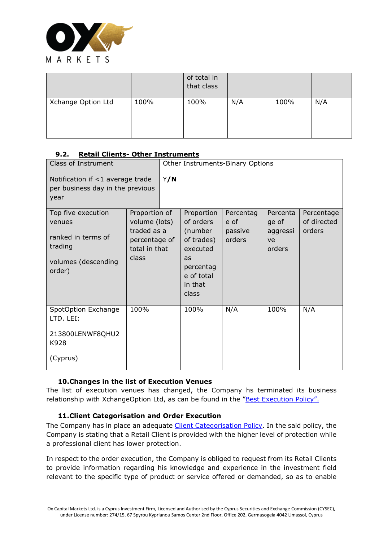

|                    |      | of total in<br>that class |     |      |     |
|--------------------|------|---------------------------|-----|------|-----|
| Xchange Option Ltd | 100% | 100%                      | N/A | 100% | N/A |

# <span id="page-6-0"></span>**9.2. Retail Clients- Other Instruments**

| Class of Instrument                                                                                                                                                                        |      | Other Instruments-Binary Options |                                                                                                                   |                                        |                                               |                                     |
|--------------------------------------------------------------------------------------------------------------------------------------------------------------------------------------------|------|----------------------------------|-------------------------------------------------------------------------------------------------------------------|----------------------------------------|-----------------------------------------------|-------------------------------------|
| Notification if <1 average trade<br>per business day in the previous<br>year                                                                                                               | Y/N  |                                  |                                                                                                                   |                                        |                                               |                                     |
| Proportion of<br>Top five execution<br>volume (lots)<br>venues<br>traded as a<br>ranked in terms of<br>percentage of<br>trading<br>total in that<br>class<br>volumes (descending<br>order) |      |                                  | Proportion<br>of orders<br>(number<br>of trades)<br>executed<br>as<br>percentag<br>e of total<br>in that<br>class | Percentag<br>e of<br>passive<br>orders | Percenta<br>ge of<br>aggressi<br>ve<br>orders | Percentage<br>of directed<br>orders |
| SpotOption Exchange<br>LTD. LEI:<br>213800LENWF8QHU2<br>K928<br>(Cyprus)                                                                                                                   | 100% |                                  | 100%                                                                                                              | N/A                                    | 100%                                          | N/A                                 |

# <span id="page-6-1"></span>**10.Changes in the list of Execution Venues**

The list of execution venues has changed, the Company hs terminated its business relationship with XchangeOption Ltd, as can be found in the ["Best Execution Policy".](http://www.oxmarkets.com/wp-content/uploads/2018/02/Summary-Best-Execution-Policy-Jan.-2018.pdf)

# **11.Client Categorisation and Order Execution**

<span id="page-6-2"></span>The Company has in place an adequate [Client Categorisation Policy.](http://www.oxmarkets.com/wp-content/uploads/2018/01/Clients-Categorisation-Policy-Jan.-2018.pdf) In the said policy, the Company is stating that a Retail Client is provided with the higher level of protection while a professional client has lower protection.

In respect to the order execution, the Company is obliged to request from its Retail Clients to provide information regarding his knowledge and experience in the investment field relevant to the specific type of product or service offered or demanded, so as to enable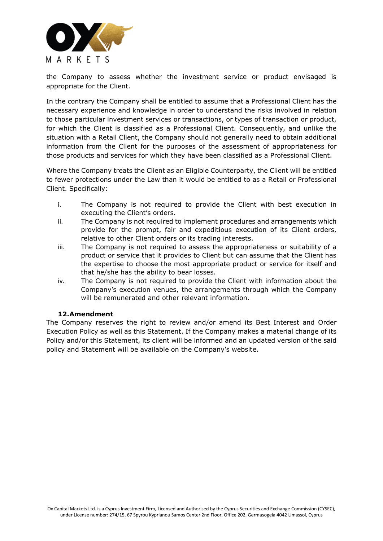

the Company to assess whether the investment service or product envisaged is appropriate for the Client.

In the contrary the Company shall be entitled to assume that a Professional Client has the necessary experience and knowledge in order to understand the risks involved in relation to those particular investment services or transactions, or types of transaction or product, for which the Client is classified as a Professional Client. Consequently, and unlike the situation with a Retail Client, the Company should not generally need to obtain additional information from the Client for the purposes of the assessment of appropriateness for those products and services for which they have been classified as a Professional Client.

Where the Company treats the Client as an Eligible Counterparty, the Client will be entitled to fewer protections under the Law than it would be entitled to as a Retail or Professional Client. Specifically:

- i. The Company is not required to provide the Client with best execution in executing the Client's orders.
- ii. The Company is not required to implement procedures and arrangements which provide for the prompt, fair and expeditious execution of its Client orders, relative to other Client orders or its trading interests.
- iii. The Company is not required to assess the appropriateness or suitability of a product or service that it provides to Client but can assume that the Client has the expertise to choose the most appropriate product or service for itself and that he/she has the ability to bear losses.
- iv. The Company is not required to provide the Client with information about the Company's execution venues, the arrangements through which the Company will be remunerated and other relevant information.

# **12.Amendment**

<span id="page-7-0"></span>The Company reserves the right to review and/or amend its Best Interest and Order Execution Policy as well as this Statement. If the Company makes a material change of its Policy and/or this Statement, its client will be informed and an updated version of the said policy and Statement will be available on the Company's website.